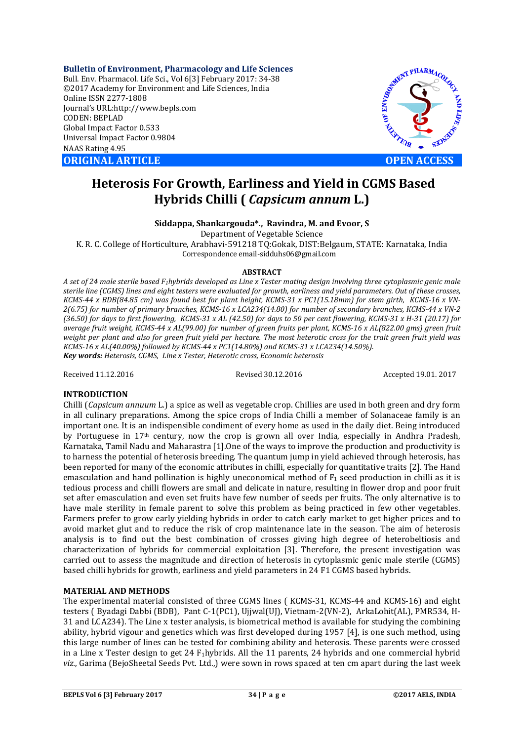**Bulletin of Environment, Pharmacology and Life Sciences** Bull. Env. Pharmacol. Life Sci., Vol 6[3] February 2017: 34-38 ©2017 Academy for Environment and Life Sciences, India Online ISSN 2277-1808 Journal's URL:http://www.bepls.com CODEN: BEPLAD Global Impact Factor 0.533 Universal Impact Factor 0.9804 NAAS Rating 4.95 **ORIGINAL ARTICLE OPEN ACCESS** 



# **Heterosis For Growth, Earliness and Yield in CGMS Based Hybrids Chilli (** *Capsicum annum* **L.)**

# **Siddappa, Shankargouda\*., Ravindra, M. and Evoor, S**

Department of Vegetable Science K. R. C. College of Horticulture, Arabhavi-591218 TQ:Gokak, DIST:Belgaum, STATE: Karnataka, India Correspondence email-sidduhs06@gmail.com

### **ABSTRACT**

*A set of 24 male sterile based F1hybrids developed as Line x Tester mating design involving three cytoplasmic genic male sterile line (CGMS) lines and eight testers were evaluated for growth, earliness and yield parameters. Out of these crosses, KCMS-44 x BDB(84.85 cm) was found best for plant height, KCMS-31 x PC1(15.18mm) for stem girth, KCMS-16 x VN-2(6.75) for number of primary branches, KCMS-16 x LCA234(14.80) for number of secondary branches, KCMS-44 x VN-2 (36.50) for days to first flowering, KCMS-31 x AL (42.50) for days to 50 per cent flowering, KCMS-31 x H-31 (20.17) for average fruit weight, KCMS-44 x AL(99.00) for number of green fruits per plant, KCMS-16 x AL(822.00 gms) green fruit weight per plant and also for green fruit yield per hectare. The most heterotic cross for the trait green fruit yield was KCMS-16 x AL(40.00%) followed by KCMS-44 x PC1(14.80%) and KCMS-31 x LCA234(14.50%). Key words: Heterosis, CGMS, Line x Tester, Heterotic cross, Economic heterosis*

Received 11.12.2016 Revised 30.12.2016 Accepted 19.01. 2017

## **INTRODUCTION**

Chilli (*Capsicum annuum* L.) a spice as well as vegetable crop. Chillies are used in both green and dry form in all culinary preparations. Among the spice crops of India Chilli a member of Solanaceae family is an important one. It is an indispensible condiment of every home as used in the daily diet. Being introduced by Portuguese in 17th century, now the crop is grown all over India, especially in Andhra Pradesh, Karnataka, Tamil Nadu and Maharastra [1].One of the ways to improve the production and productivity is to harness the potential of heterosis breeding. The quantum jump in yield achieved through heterosis, has been reported for many of the economic attributes in chilli, especially for quantitative traits [2]. The Hand emasculation and hand pollination is highly uneconomical method of  $F_1$  seed production in chilli as it is tedious process and chilli flowers are small and delicate in nature, resulting in flower drop and poor fruit set after emasculation and even set fruits have few number of seeds per fruits. The only alternative is to have male sterility in female parent to solve this problem as being practiced in few other vegetables. Farmers prefer to grow early yielding hybrids in order to catch early market to get higher prices and to avoid market glut and to reduce the risk of crop maintenance late in the season. The aim of heterosis analysis is to find out the best combination of crosses giving high degree of heterobeltiosis and characterization of hybrids for commercial exploitation [3]. Therefore, the present investigation was carried out to assess the magnitude and direction of heterosis in cytoplasmic genic male sterile (CGMS) based chilli hybrids for growth, earliness and yield parameters in 24 F1 CGMS based hybrids.

## **MATERIAL AND METHODS**

The experimental material consisted of three CGMS lines ( KCMS-31, KCMS-44 and KCMS-16) and eight testers ( Byadagi Dabbi (BDB), Pant C-1(PC1), Ujjwal(UJ), Vietnam-2(VN-2), ArkaLohit(AL), PMR534, H-31 and LCA234). The Line x tester analysis, is biometrical method is available for studying the combining ability, hybrid vigour and genetics which was first developed during 1957 [4], is one such method, using this large number of lines can be tested for combining ability and heterosis. These parents were crossed in a Line x Tester design to get 24  $F_1$ hybrids. All the 11 parents, 24 hybrids and one commercial hybrid *viz.*, Garima (BejoSheetal Seeds Pvt. Ltd.,) were sown in rows spaced at ten cm apart during the last week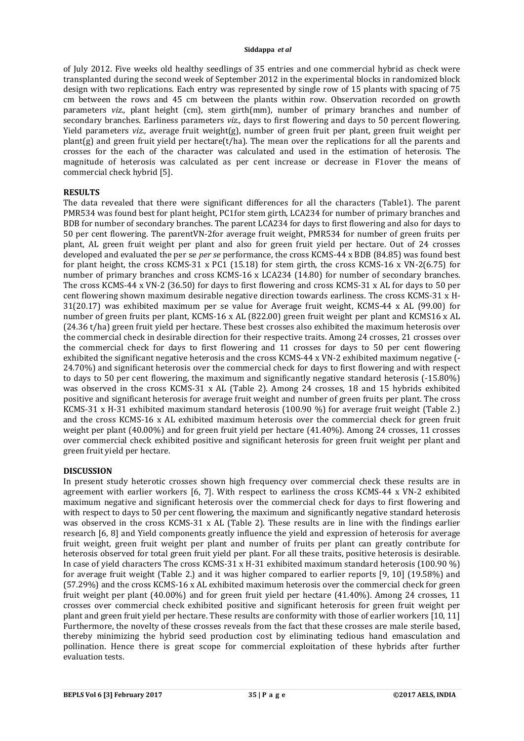of July 2012. Five weeks old healthy seedlings of 35 entries and one commercial hybrid as check were transplanted during the second week of September 2012 in the experimental blocks in randomized block design with two replications. Each entry was represented by single row of 15 plants with spacing of 75 cm between the rows and 45 cm between the plants within row. Observation recorded on growth parameters *viz.,* plant height (cm), stem girth(mm), number of primary branches and number of secondary branches. Earliness parameters *viz.,* days to first flowering and days to 50 percent flowering. Yield parameters *viz.,* average fruit weight(g), number of green fruit per plant, green fruit weight per plant(g) and green fruit yield per hectare(t/ha). The mean over the replications for all the parents and crosses for the each of the character was calculated and used in the estimation of heterosis. The magnitude of heterosis was calculated as per cent increase or decrease in F1over the means of commercial check hybrid [5].

# **RESULTS**

The data revealed that there were significant differences for all the characters (Table1). The parent PMR534 was found best for plant height, PC1for stem girth, LCA234 for number of primary branches and BDB for number of secondary branches. The parent LCA234 for days to first flowering and also for days to 50 per cent flowering. The parentVN-2for average fruit weight, PMR534 for number of green fruits per plant, AL green fruit weight per plant and also for green fruit yield per hectare. Out of 24 crosses developed and evaluated the per se *per se* performance, the cross KCMS-44 x BDB (84.85) was found best for plant height, the cross KCMS-31 x PC1 (15.18) for stem girth, the cross KCMS-16 x VN-2(6.75) for number of primary branches and cross KCMS-16 x LCA234 (14.80) for number of secondary branches. The cross KCMS-44 x VN-2 (36.50) for days to first flowering and cross KCMS-31 x AL for days to 50 per cent flowering shown maximum desirable negative direction towards earliness. The cross KCMS-31 x H-31(20.17) was exhibited maximum per se value for Average fruit weight, KCMS-44 x AL (99.00) for number of green fruits per plant, KCMS-16 x AL (822.00) green fruit weight per plant and KCMS16 x AL (24.36 t/ha) green fruit yield per hectare. These best crosses also exhibited the maximum heterosis over the commercial check in desirable direction for their respective traits. Among 24 crosses, 21 crosses over the commercial check for days to first flowering and 11 crosses for days to 50 per cent flowering exhibited the significant negative heterosis and the cross KCMS-44 x VN-2 exhibited maximum negative (- 24.70%) and significant heterosis over the commercial check for days to first flowering and with respect to days to 50 per cent flowering, the maximum and significantly negative standard heterosis (-15.80%) was observed in the cross KCMS-31 x AL (Table 2). Among 24 crosses, 18 and 15 hybrids exhibited positive and significant heterosis for average fruit weight and number of green fruits per plant. The cross KCMS-31 x H-31 exhibited maximum standard heterosis (100.90 %) for average fruit weight (Table 2.) and the cross KCMS-16 x AL exhibited maximum heterosis over the commercial check for green fruit weight per plant (40.00%) and for green fruit yield per hectare (41.40%). Among 24 crosses, 11 crosses over commercial check exhibited positive and significant heterosis for green fruit weight per plant and green fruit yield per hectare.

## **DISCUSSION**

In present study heterotic crosses shown high frequency over commercial check these results are in agreement with earlier workers [6, 7]. With respect to earliness the cross KCMS-44 x VN-2 exhibited maximum negative and significant heterosis over the commercial check for days to first flowering and with respect to days to 50 per cent flowering, the maximum and significantly negative standard heterosis was observed in the cross KCMS-31 x AL (Table 2). These results are in line with the findings earlier research [6, 8] and Yield components greatly influence the yield and expression of heterosis for average fruit weight, green fruit weight per plant and number of fruits per plant can greatly contribute for heterosis observed for total green fruit yield per plant. For all these traits, positive heterosis is desirable. In case of yield characters The cross KCMS-31 x H-31 exhibited maximum standard heterosis (100.90 %) for average fruit weight (Table 2.) and it was higher compared to earlier reports [9, 10] (19.58%) and (57.29%) and the cross KCMS-16 x AL exhibited maximum heterosis over the commercial check for green fruit weight per plant (40.00%) and for green fruit yield per hectare (41.40%). Among 24 crosses, 11 crosses over commercial check exhibited positive and significant heterosis for green fruit weight per plant and green fruit yield per hectare. These results are conformity with those of earlier workers [10, 11] Furthermore, the novelty of these crosses reveals from the fact that these crosses are male sterile based, thereby minimizing the hybrid seed production cost by eliminating tedious hand emasculation and pollination. Hence there is great scope for commercial exploitation of these hybrids after further evaluation tests.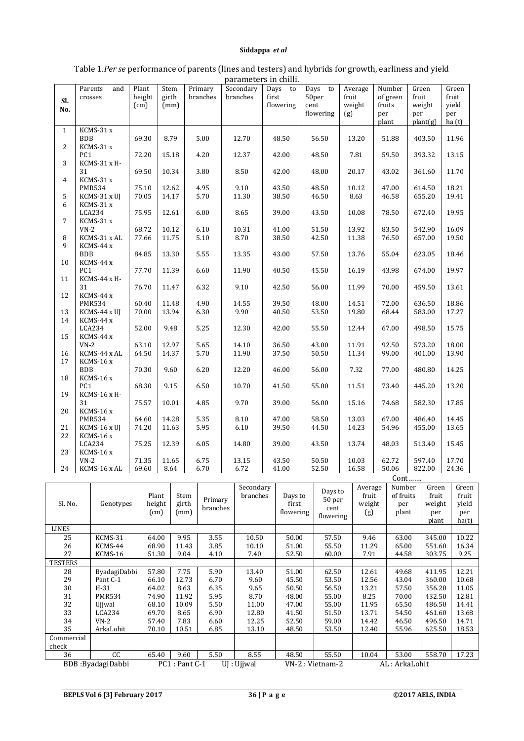| раганість ні спіні. |                 |        |       |          |           |           |           |         |          |                       |       |
|---------------------|-----------------|--------|-------|----------|-----------|-----------|-----------|---------|----------|-----------------------|-------|
|                     | Parents<br>and  | Plant  | Stem  | Primary  | Secondary | Days to   | Days to   | Average | Number   | Green                 | Green |
|                     | crosses         | height | girth | branches | branches  | first     | 50per     | fruit   | of green | fruit                 | fruit |
| SI.                 |                 | (cm)   | (mm)  |          |           | flowering | cent      | weight  | fruits   | weight                | vield |
| No.                 |                 |        |       |          |           |           |           |         |          |                       |       |
|                     |                 |        |       |          |           |           | flowering | (g)     | per      | per                   | per   |
|                     |                 |        |       |          |           |           |           |         | plant    | plan <sub>f</sub> (g) | ha(t) |
| $\mathbf{1}$        | KCMS-31 x       |        |       |          |           |           |           |         |          |                       |       |
|                     | <b>BDB</b>      | 69.30  | 8.79  | 5.00     | 12.70     | 48.50     | 56.50     | 13.20   | 51.88    | 403.50                | 11.96 |
| $\overline{2}$      | KCMS-31 x       |        |       |          |           |           |           |         |          |                       |       |
|                     |                 |        |       |          |           |           |           |         |          |                       |       |
|                     | PC <sub>1</sub> | 72.20  | 15.18 | 4.20     | 12.37     | 42.00     | 48.50     | 7.81    | 59.50    | 393.32                | 13.15 |
| 3                   | KCMS-31 x H-    |        |       |          |           |           |           |         |          |                       |       |
|                     | 31              | 69.50  | 10.34 | 3.80     | 8.50      | 42.00     | 48.00     | 20.17   | 43.02    | 361.60                | 11.70 |
| $\overline{4}$      | $KCMS-31x$      |        |       |          |           |           |           |         |          |                       |       |
|                     | <b>PMR534</b>   | 75.10  | 12.62 | 4.95     | 9.10      | 43.50     | 48.50     | 10.12   | 47.00    | 614.50                | 18.21 |
| 5                   | KCMS-31 x UJ    | 70.05  | 14.17 | 5.70     | 11.30     | 38.50     | 46.50     | 8.63    | 46.58    | 655.20                | 19.41 |
|                     |                 |        |       |          |           |           |           |         |          |                       |       |
| 6                   | KCMS-31 x       |        |       |          |           |           |           |         |          |                       |       |
|                     | LCA234          | 75.95  | 12.61 | 6.00     | 8.65      | 39.00     | 43.50     | 10.08   | 78.50    | 672.40                | 19.95 |
| 7                   | KCMS-31 x       |        |       |          |           |           |           |         |          |                       |       |
|                     | $VN-2$          | 68.72  | 10.12 | 6.10     | 10.31     | 41.00     | 51.50     | 13.92   | 83.50    | 542.90                | 16.09 |
| 8                   | KCMS-31 x AL    | 77.66  | 11.75 | 5.10     | 8.70      | 38.50     | 42.50     | 11.38   | 76.50    | 657.00                | 19.50 |
| 9                   | KCMS-44 x       |        |       |          |           |           |           |         |          |                       |       |
|                     | <b>BDB</b>      | 84.85  |       |          |           | 43.00     |           | 13.76   |          |                       |       |
|                     |                 |        | 13.30 | 5.55     | 13.35     |           | 57.50     |         | 55.04    | 623.05                | 18.46 |
| 10                  | KCMS-44 x       |        |       |          |           |           |           |         |          |                       |       |
|                     | PC <sub>1</sub> | 77.70  | 11.39 | 6.60     | 11.90     | 40.50     | 45.50     | 16.19   | 43.98    | 674.00                | 19.97 |
| 11                  | KCMS-44 x H-    |        |       |          |           |           |           |         |          |                       |       |
|                     | 31              | 76.70  | 11.47 | 6.32     | 9.10      | 42.50     | 56.00     | 11.99   | 70.00    | 459.50                | 13.61 |
| 12                  | KCMS-44 x       |        |       |          |           |           |           |         |          |                       |       |
|                     | <b>PMR534</b>   | 60.40  | 11.48 | 4.90     | 14.55     | 39.50     | 48.00     | 14.51   | 72.00    | 636.50                | 18.86 |
| 13                  |                 |        |       |          |           |           |           |         |          |                       |       |
|                     | KCMS-44 x UJ    | 70.00  | 13.94 | 6.30     | 9.90      | 40.50     | 53.50     | 19.80   | 68.44    | 583.00                | 17.27 |
| 14                  | KCMS-44 x       |        |       |          |           |           |           |         |          |                       |       |
|                     | LCA234          | 52.00  | 9.48  | 5.25     | 12.30     | 42.00     | 55.50     | 12.44   | 67.00    | 498.50                | 15.75 |
| 15                  | KCMS-44 x       |        |       |          |           |           |           |         |          |                       |       |
|                     | $VN-2$          | 63.10  | 12.97 | 5.65     | 14.10     | 36.50     | 43.00     | 11.91   | 92.50    | 573.20                | 18.00 |
| 16                  | KCMS-44 x AL    | 64.50  | 14.37 | 5.70     | 11.90     | 37.50     | 50.50     | 11.34   | 99.00    | 401.00                | 13.90 |
| 17                  | KCMS-16 x       |        |       |          |           |           |           |         |          |                       |       |
|                     | <b>BDB</b>      | 70.30  | 9.60  | 6.20     | 12.20     | 46.00     | 56.00     | 7.32    | 77.00    | 480.80                | 14.25 |
|                     |                 |        |       |          |           |           |           |         |          |                       |       |
| 18                  | $KCMS-16x$      |        |       |          |           |           |           |         |          |                       |       |
|                     | PC <sub>1</sub> | 68.30  | 9.15  | 6.50     | 10.70     | 41.50     | 55.00     | 11.51   | 73.40    | 445.20                | 13.20 |
| 19                  | KCMS-16 x H-    |        |       |          |           |           |           |         |          |                       |       |
|                     | 31              | 75.57  | 10.01 | 4.85     | 9.70      | 39.00     | 56.00     | 15.16   | 74.68    | 582.30                | 17.85 |
| 20                  | KCMS-16 x       |        |       |          |           |           |           |         |          |                       |       |
|                     | <b>PMR534</b>   | 64.60  | 14.28 | 5.35     | 8.10      | 47.00     | 58.50     | 13.03   | 67.00    | 486.40                | 14.45 |
|                     |                 |        |       |          |           |           |           |         |          |                       |       |
| 21                  | KCMS-16 x UI    | 74.20  | 11.63 | 5.95     | 6.10      | 39.50     | 44.50     | 14.23   | 54.96    | 455.00                | 13.65 |
| 22                  | KCMS-16 x       |        |       |          |           |           |           |         |          |                       |       |
|                     | LCA234          | 75.25  | 12.39 | 6.05     | 14.80     | 39.00     | 43.50     | 13.74   | 48.03    | 513.40                | 15.45 |
| 23                  | KCMS-16 x       |        |       |          |           |           |           |         |          |                       |       |
|                     | $VN-2$          | 71.35  | 11.65 | 6.75     | 13.15     | 43.50     | 50.50     | 10.03   | 62.72    | 597.40                | 17.70 |
| 24                  | KCMS-16 x AL    | 69.60  | 8.64  | 6.70     | 6.72      | 41.00     | 52.50     | 16.58   | 50.06    | 822.00                | 24.36 |

## Table 1.*Per se* performance of parents (lines and testers) and hybrids for growth, earliness and yield parameters in chilli.

|                |                   |                         |                       |                     |                                 | Cont                          |                                        |                                   |                                     |                                          |                                         |
|----------------|-------------------|-------------------------|-----------------------|---------------------|---------------------------------|-------------------------------|----------------------------------------|-----------------------------------|-------------------------------------|------------------------------------------|-----------------------------------------|
| Sl. No.        | Genotypes         | Plant<br>height<br>(cm) | Stem<br>girth<br>(mm) | Primary<br>branches | Secondary<br>branches           | Days to<br>first<br>flowering | Days to<br>50 per<br>cent<br>flowering | Average<br>fruit<br>weight<br>(g) | Number<br>of fruits<br>per<br>plant | Green<br>fruit<br>weight<br>per<br>plant | Green<br>fruit<br>yield<br>per<br>ha(t) |
| <b>LINES</b>   |                   |                         |                       |                     |                                 |                               |                                        |                                   |                                     |                                          |                                         |
| 25             | KCMS-31           | 64.00                   | 9.95                  | 3.55                | 10.50                           | 50.00                         | 57.50                                  | 9.46                              | 63.00                               | 345.00                                   | 10.22                                   |
| 26             | KCMS-44           | 68.90                   | 11.43                 | 3.85                | 10.10                           | 51.00                         | 55.50                                  | 11.29                             | 65.00                               | 551.60                                   | 16.34                                   |
| 27             | KCMS-16           | 51.30                   | 9.04                  | 4.10                | 7.40                            | 52.50                         | 60.00                                  | 7.91                              | 44.58                               | 303.75                                   | 9.25                                    |
| <b>TESTERS</b> |                   |                         |                       |                     |                                 |                               |                                        |                                   |                                     |                                          |                                         |
| 28             | ByadagiDabbi      | 57.80                   | 7.75                  | 5.90                | 13.40                           | 51.00                         | 62.50                                  | 12.61                             | 49.68                               | 411.95                                   | 12.21                                   |
| 29             | Pant C-1          | 66.10                   | 12.73                 | 6.70                | 9.60                            | 45.50                         | 53.50                                  | 12.56                             | 43.04                               | 360.00                                   | 10.68                                   |
| 30             | $H-31$            | 64.02                   | 8.63                  | 6.35                | 9.65                            | 50.50                         | 56.50                                  | 13.21                             | 57.50                               | 356.20                                   | 11.05                                   |
| 31             | PMR534            | 74.90                   | 11.92                 | 5.95                | 8.70                            | 48.00                         | 55.00                                  | 8.25                              | 70.00                               | 432.50                                   | 12.81                                   |
| 32             | Ujiwal            | 68.10                   | 10.09                 | 5.50                | 11.00                           | 47.00                         | 55.00                                  | 11.95                             | 65.50                               | 486.50                                   | 14.41                                   |
| 33             | LCA234            | 69.70                   | 8.65                  | 6.90                | 12.80                           | 41.50                         | 51.50                                  | 13.71                             | 54.50                               | 461.60                                   | 13.68                                   |
| 34             | $VN-2$            | 57.40                   | 7.83                  | 6.60                | 12.25                           | 52.50                         | 59.00                                  | 14.42                             | 46.50                               | 496.50                                   | 14.71                                   |
| 35             | ArkaLohit         | 70.10                   | 10.51                 | 6.85                | 13.10                           | 48.50                         | 53.50                                  | 12.40                             | 55.96                               | 625.50                                   | 18.53                                   |
| Commercial     |                   |                         |                       |                     |                                 |                               |                                        |                                   |                                     |                                          |                                         |
| check          |                   |                         |                       |                     |                                 |                               |                                        |                                   |                                     |                                          |                                         |
| 36             | cc                | 65.40                   | 9.60                  | 5.50                | 8.55                            | 48.50                         | 55.50                                  | 10.04                             | 53.00                               | 558.70                                   | 17.23                                   |
|                | BDB: ByadagiDabbi | PC1: Pant C-1           |                       |                     | VN-2 : Vietnam-2<br>UI : Ujiwal |                               |                                        | AL: ArkaLohit                     |                                     |                                          |                                         |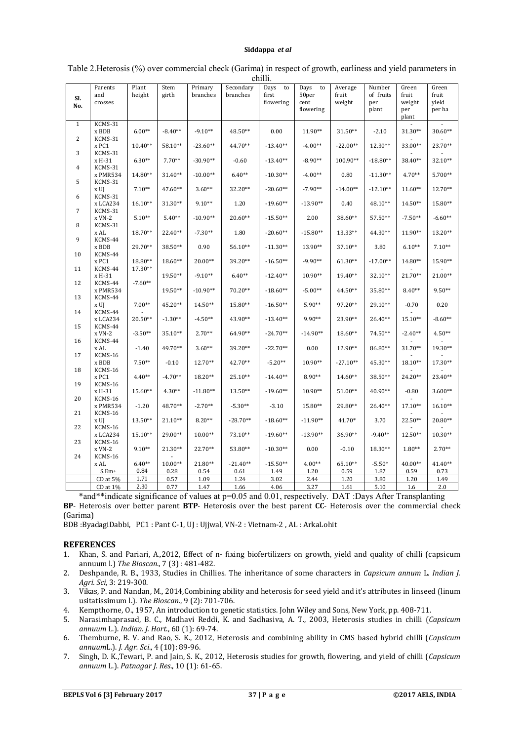| Sl.<br>No.          | Parents<br>and<br>crosses     | Plant<br>height      | Stem<br>girth        | Primary<br>branches   | Secondary<br>branches | Days<br>to<br>first<br>flowering | Days<br>to<br>50per<br>cent<br>flowering | Average<br>fruit<br>weight | Number<br>of fruits<br>per<br>plant | Green<br>fruit<br>weight<br>per | Green<br>fruit<br>yield<br>per ha |
|---------------------|-------------------------------|----------------------|----------------------|-----------------------|-----------------------|----------------------------------|------------------------------------------|----------------------------|-------------------------------------|---------------------------------|-----------------------------------|
|                     |                               |                      |                      |                       |                       |                                  |                                          |                            |                                     | plant                           |                                   |
| $\mathbf{1}$        | KCMS-31<br>x BDB              | $6.00**$             | $-8.40**$            | $-9.10**$             | 48.50**               | 0.00                             | 11.90**                                  | 31.50**                    | $-2.10$                             | 31.30**                         | 30.60**                           |
| 2                   | KCMS-31<br>x PC1              | $10.40**$            | 58.10**              | $-23.60**$            | 44.70**               | $-13.40**$                       | $-4.00**$                                | $-22.00**$                 | 12.30**                             | 33.00**                         | 23.70**                           |
| 3                   | KCMS-31<br>x H-31<br>KCMS-31  | $6.30**$             | $7.70**$             | $-30.90**$            | $-0.60$               | $-13.40**$                       | $-8.90**$                                | 100.90**                   | $-18.80**$                          | 38.40**                         | 32.10**                           |
| $\overline{4}$<br>5 | x PMR534                      | 14.80**              | 31.40**              | $-10.00**$            | $6.40**$              | $-10.30**$                       | $-4.00**$                                | 0.80                       | $-11.30**$                          | $4.70**$                        | 5.700**                           |
| 6                   | KCMS-31<br>x UJ<br>KCMS-31    | $7.10**$             | 47.60**              | $3.60**$              | 32.20**               | $-20.60**$                       | $-7.90**$                                | $-14.00**$                 | $-12.10**$                          | $11.60**$                       | 12.70**                           |
| 7                   | x LCA234<br>KCMS-31           | 16.10**              | 31.30**              | $9.10**$              | 1.20                  | $-19.60**$                       | $-13.90**$                               | 0.40                       | 48.10**                             | 14.50**                         | $15.80**$                         |
| 8                   | $x$ VN-2<br>KCMS-31           | $5.10**$             | $5.40**$             | $-10.90**$            | $20.60**$             | $-15.50**$                       | 2.00                                     | 38.60**                    | 57.50**                             | $-7.50**$                       | $-6.60**$                         |
| 9                   | x AL<br>KCMS-44               | 18.70**              | 22.40**              | $-7.30**$             | 1.80                  | $-20.60**$                       | $-15.80**$                               | 13.33**                    | 44.30**                             | 11.90**                         | 13.20**                           |
| 10                  | x BDB<br>KCMS-44              | 29.70**              | 38.50**              | 0.90                  | 56.10**               | $-11.30**$                       | 13.90**                                  | 37.10**                    | 3.80                                | $6.10**$                        | $7.10**$                          |
| 11                  | x PC1<br>KCMS-44              | 18.80**<br>17.30**   | 18.60**              | 20.00**               | 39.20**               | $-16.50**$                       | $-9.90**$                                | $61.30**$                  | $-17.00**$                          | 14.80**                         | 15.90**                           |
| 12                  | x H-31<br>KCMS-44             | $-7.60**$            | 19.50**              | $-9.10**$             | $6.40**$              | $-12.40**$                       | 10.90**                                  | 19.40**                    | 32.10**                             | 21.70**                         | 21.00**                           |
| 13                  | x PMR534<br>KCMS-44           |                      | 19.50**              | $-10.90**$            | 70.20**               | $-18.60**$                       | $-5.00**$                                | 44.50**                    | 35.80**                             | $8.40**$                        | $9.50**$                          |
| 14                  | x UI<br>KCMS-44               | $7.00**$             | 45.20**              | 14.50**               | 15.80**               | $-16.50**$                       | $5.90**$                                 | 97.20**                    | 29.10**                             | $-0.70$                         | 0.20                              |
| 15                  | x LCA234<br>KCMS-44<br>x VN-2 | 20.50**<br>$-3.50**$ | $-1.30**$<br>35.10** | $-4.50**$<br>$2.70**$ | 43.90**<br>64.90**    | $-13.40**$<br>$-24.70**$         | 9.90**<br>$-14.90**$                     | 23.90**<br>18.60**         | 26.40**<br>74.50**                  | 15.10**<br>$-2.40**$            | $-8.60**$<br>$4.50**$             |
| 16                  | KCMS-44<br>x AL               | $-1.40$              | 49.70**              | $3.60**$              | 39.20**               | $-22.70**$                       | 0.00                                     | 12.90**                    | 86.80**                             | 31.70**                         | 19.30**                           |
| 17                  | KCMS-16<br>x BDB              | $7.50**$             | $-0.10$              | 12.70**               | 42.70**               | $-5.20**$                        | 10.90**                                  | $-27.10**$                 | $45.30**$                           | 18.10**                         | $17.30**$                         |
| 18                  | KCMS-16<br>x PC1              | $4.40**$             | $-4.70**$            | 18.20**               | $25.10**$             | $-14.40**$                       | 8.90**                                   | 14.60**                    | 38.50**                             | 24.20**                         | 23.40**                           |
| 19                  | KCMS-16<br>x H-31             | 15.60**              | $4.30**$             | $-11.80**$            | 13.50**               | $-19.60**$                       | 10.90**                                  | 51.00**                    | 40.90**                             | $-0.80$                         | $3.600**$                         |
| 20                  | KCMS-16<br>x PMR534           | $-1.20$              | 48.70**              | $-2.70**$             | $-5.30**$             | $-3.10$                          | 15.80**                                  | 29.80**                    | 26.40**                             | 17.10**                         | $16.10**$                         |
| 21                  | KCMS-16<br>x UJ               | 13.50**              | $21.10**$            | $8.20**$              | $-28.70**$            | $-18.60**$                       | $-11.90**$                               | 41.70*                     | 3.70                                | 22.50**                         | 20.80**                           |
| 22                  | KCMS-16<br>x LCA234           | $15.10**$            | 29.00**              | $10.00**$             | $73.10**$             | $-19.60**$                       | $-13.90**$                               | 36.90**                    | $-9.40**$                           | 12.50**                         | $10.30**$                         |
| 23                  | KCMS-16<br>x VN-2             | $9.10**$             | 21.30**              | 22.70**               | 53.80**               | $-10.30**$                       | 0.00                                     | $-0.10$                    | 18.30**                             | $1.80**$                        | $2.70**$                          |
| 24                  | KCMS-16                       |                      |                      |                       |                       |                                  |                                          |                            |                                     |                                 |                                   |
|                     | x AL<br>S.Em±                 | $6.40**$<br>0.84     | $10.00**$<br>0.28    | 21.80**<br>0.54       | $-21.40**$<br>0.61    | $-15.50**$<br>1.49               | $4.00**$<br>1.20                         | 65.10**<br>0.59            | $-5.50*$<br>1.87                    | 40.00**<br>0.59                 | 41.40**<br>0.73                   |
|                     | $CD$ at $5%$                  | 1.71                 | 0.57                 | 1.09                  | 1.24                  | 3.02                             | 2.44                                     | 1.20                       | 3.80                                | 1.20                            | 1.49                              |
|                     | $CD$ at $1\%$                 | 2.30                 | 0.77                 | 1.47                  | 1.66                  | 4.06                             | 3.27                                     | 1.61                       | 5.10                                | 1.6                             | 2.0                               |
|                     |                               |                      |                      |                       |                       |                                  |                                          |                            |                                     |                                 |                                   |

#### Table 2.Heterosis (%) over commercial check (Garima) in respect of growth, earliness and yield parameters in chilli.

\*and\*\*indicate significance of values at p=0.05 and 0.01, respectively. DAT :Days After Transplanting **BP**- Heterosis over better parent **BTP**- Heterosis over the best parent **CC**- Heterosis over the commercial check (Garima)

BDB :ByadagiDabbi, PC1 : Pant C-1, UJ : Ujjwal, VN-2 : Vietnam-2 , AL : ArkaLohit

#### **REFERENCES**

- 1. Khan, S. and Pariari, A.,2012, Effect of n- fixing biofertilizers on growth, yield and quality of chilli (capsicum annuum l.) *The Bioscan*., 7 (3) : 481-482.
- 2. Deshpande, R. B., 1933, Studies in Chillies. The inheritance of some characters in *Capsicum annum* L. *Indian J. Agri. Sci*, 3: 219-300.
- 3. Vikas, P. and Nandan, M., 2014,Combining ability and heterosis for seed yield and it's attributes in linseed (linum usitatissimum l.). *The Bioscan*., 9 (2): 701-706.
- 4. Kempthorne, O., 1957, An introduction to genetic statistics. John Wiley and Sons, New York, pp. 408-711.
- 5. Narasimhaprasad, B. C., Madhavi Reddi, K. and Sadhasiva, A. T., 2003, Heterosis studies in chilli (*Capsicum annuum* L.). *Indian. J. Hort*., 60 (1): 69-74.
- 6. Themburne, B. V. and Rao, S. K., 2012, Heterosis and combining ability in CMS based hybrid chilli (*Capsicum annuum*L.). *J. Agr. Sci*., 4 (10): 89-96.
- 7. Singh, D. K.,Tewari, P. and Jain, S. K., 2012, Heterosis studies for growth, flowering, and yield of chilli (*Capsicum annuum* L.). *Patnagar J. Res*., 10 (1): 61-65.